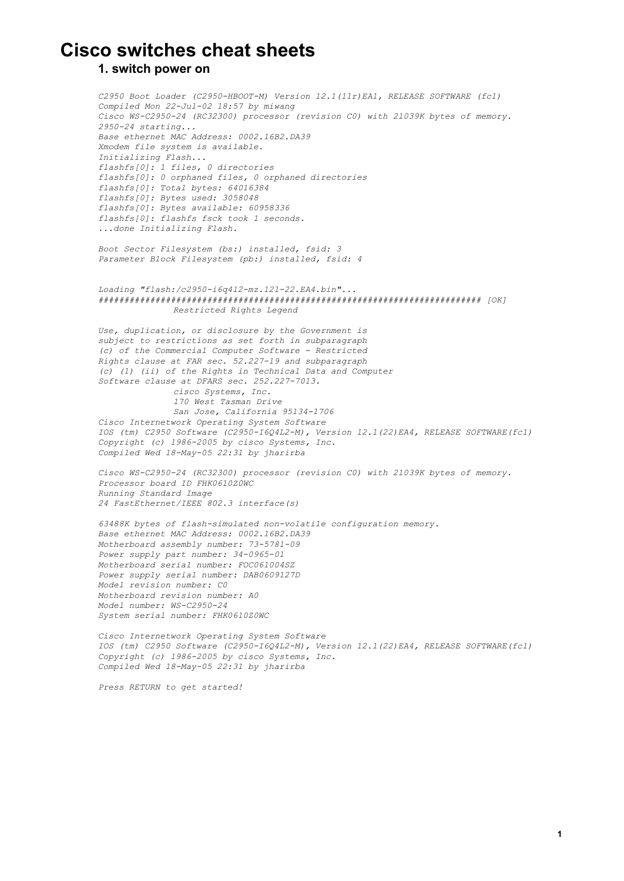# **Cisco switches cheat sheets**

### **1. switch power on**

*C2950 Boot Loader (C2950HBOOTM) Version 12.1(11r)EA1, RELEASE SOFTWARE (fc1) Compiled Mon 22-Jul-02 18:57 by miwang Cisco WSC295024 (RC32300) processor (revision C0) with 21039K bytes of memory. 295024 starting... Base ethernet MAC Address: 0002.16B2.DA39 Xmodem file system is available. Initializing Flash... flashfs[0]: 1 files, 0 directories flashfs[0]: 0 orphaned files, 0 orphaned directories flashfs[0]: Total bytes: 64016384 flashfs[0]: Bytes used: 3058048 flashfs[0]: Bytes available: 60958336 flashfs[0]: flashfs fsck took 1 seconds. ...done Initializing Flash.*

*Boot Sector Filesystem (bs:) installed, fsid: 3 Parameter Block Filesystem (pb:) installed, fsid: 4*

#### *Loading "flash:/c2950i6q4l2mz.12122.EA4.bin"... ########################################################################## [OK] Restricted Rights Legend*

*Use, duplication, or disclosure by the Government is subject to restrictions as set forth in subparagraph (c) of the Commercial Computer Software Restricted Rights clause at FAR sec. 52.22719 and subparagraph (c) (1) (ii) of the Rights in Technical Data and Computer Software clause at DFARS sec. 252.2277013. cisco Systems, Inc. 170 West Tasman Drive San Jose, California 951341706 Cisco Internetwork Operating System Software IOS (tm) C2950 Software (C2950I6Q4L2M), Version 12.1(22)EA4, RELEASE SOFTWARE(fc1) Copyright (c) 19862005 by cisco Systems, Inc. Compiled* Wed  $18$ -May-05 22:31 by *jharirba* 

*Cisco WSC295024 (RC32300) processor (revision C0) with 21039K bytes of memory. Processor board ID FHK0610Z0WC Running Standard Image 24 FastEthernet/IEEE 802.3 interface(s)*

 $63488K$  *bytes* of flash-simulated non-volatile configuration memory. *Base ethernet MAC Address: 0002.16B2.DA39 Motherboard assembly number:* 73-5781-09 *Power* supply part number: 34-0965-01 *Motherboard serial number: FOC061004SZ Power supply serial number: DAB0609127D Model revision number: C0 Motherboard revision number: A0 Model number: WS-C2950-24 System serial number: FHK0610Z0WC*

*Cisco Internetwork Operating System Software IOS (tm) C2950 Software (C2950I6Q4L2M), Version 12.1(22)EA4, RELEASE SOFTWARE(fc1) Copyright (c) 19862005 by cisco Systems, Inc. Compiled* Wed  $18$ -May-05 22:31 by jharirba

*Press RETURN to get started!*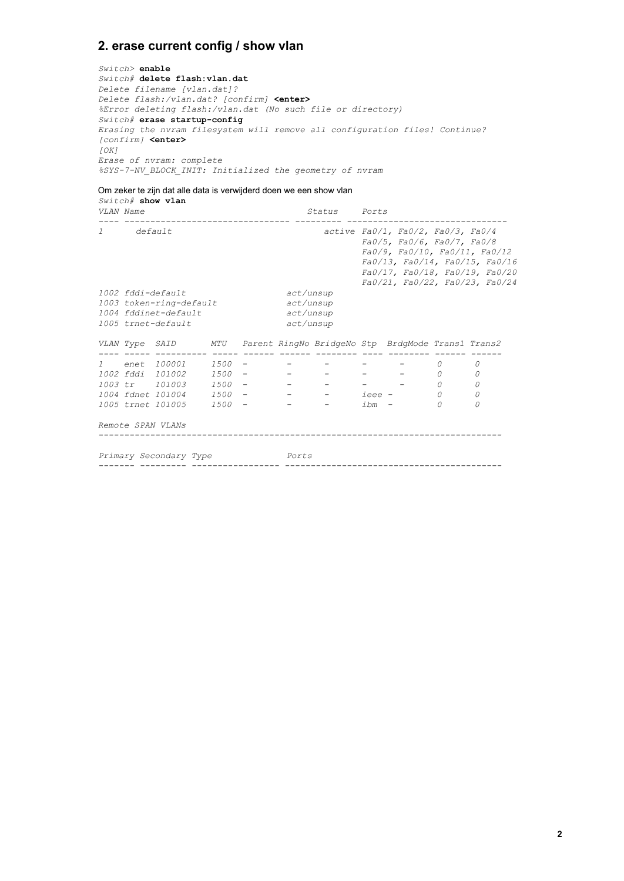# **2. erase current config / show vlan**

*Switch>* **enable** *Switch#* **delete flash:vlan.dat** *Delete filename [vlan.dat]? Delete flash:/vlan.dat? [confirm]* **<enter>** *%Error deleting flash:/vlan.dat (No such file or directory)*  $Switch\#$  erase startup-config *Erasing the nvram filesystem will remove all configuration files! Continue? [confirm]* **<enter>** *[OK] Erase of nvram: complete %SYS7NV\_BLOCK\_INIT: Initialized the geometry of nvram*

#### Om zeker te zijn dat alle data is verwijderd doen we een show vlan

*Switch#* **show vlan** *VLAN Name Status Ports 1 default active Fa0/1, Fa0/2, Fa0/3, Fa0/4 Fa0/5, Fa0/6, Fa0/7, Fa0/8 Fa0/9, Fa0/10, Fa0/11, Fa0/12 Fa0/13, Fa0/14, Fa0/15, Fa0/16 Fa0/17, Fa0/18, Fa0/19, Fa0/20 Fa0/21, Fa0/22, Fa0/23, Fa0/24* 1002 *fddi-default act/unsup*<br>1003 *token-ring-default act/unsup* 1003 *token-ring-default* 1004 *fddinet-default act/unsup*<br>1005 *trnet-default act/unsup* 1005 *trnet-default VLAN Type SAID MTU Parent RingNo BridgeNo Stp BrdgMode Trans1 Trans2 1 enet 100001 1500 0 0 1002 fddi 101002 1500 0 0 1003 tr 101003 1500 0 0 1004 fdnet 101004 1500 ieee 0 0 1005 trnet 101005 1500 ibm 0 0 Remote SPAN VLANs Primary Secondary Type Ports*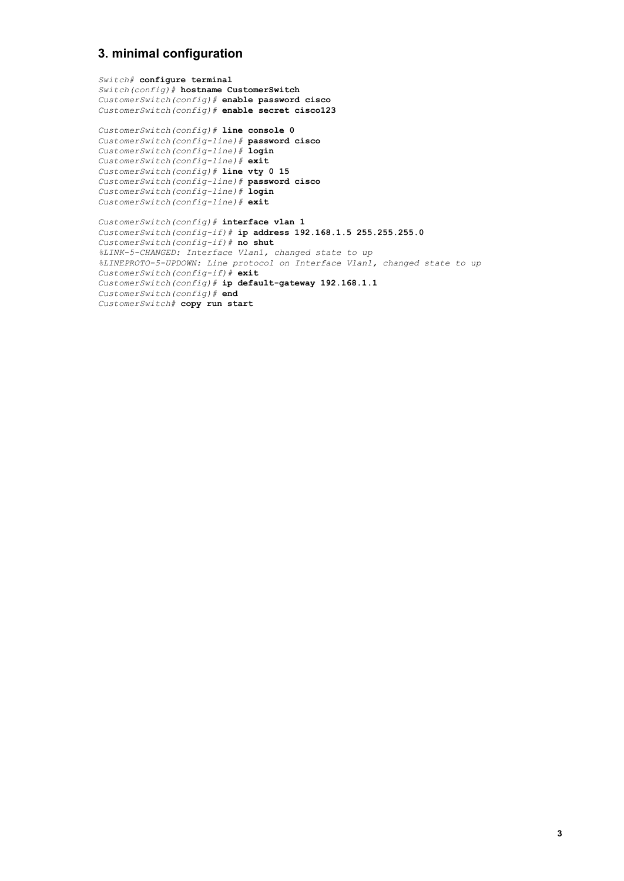# **3. minimal configuration**

*Switch#* **configure terminal** *Switch(config)#* **hostname CustomerSwitch** *CustomerSwitch(config)#* **enable password cisco** *CustomerSwitch(config)#* **enable secret cisco123**

*CustomerSwitch(config)#* **line console 0** *CustomerSwitch(configline)#* **password cisco** *CustomerSwitch(configline)#* **login** CustomerSwitch(config-line)# exit *CustomerSwitch(config)#* **line vty 0 15** *CustomerSwitch(configline)#* **password cisco** *CustomerSwitch(configline)#* **login** *CustomerSwitch(configline)#* **exit**

*CustomerSwitch(config)#* **interface vlan 1** *CustomerSwitch(configif)#* **ip address 192.168.1.5 255.255.255.0** *CustomerSwitch(configif)#* **no shut** *%LINK5CHANGED: Interface Vlan1, changed state to up %LINEPROTO5UPDOWN: Line protocol on Interface Vlan1, changed state to up CustomerSwitch(configif)#* **exit** *CustomerSwitch(config)#* **ip defaultgateway 192.168.1.1** *CustomerSwitch(config)#* **end** *CustomerSwitch#* **copy run start**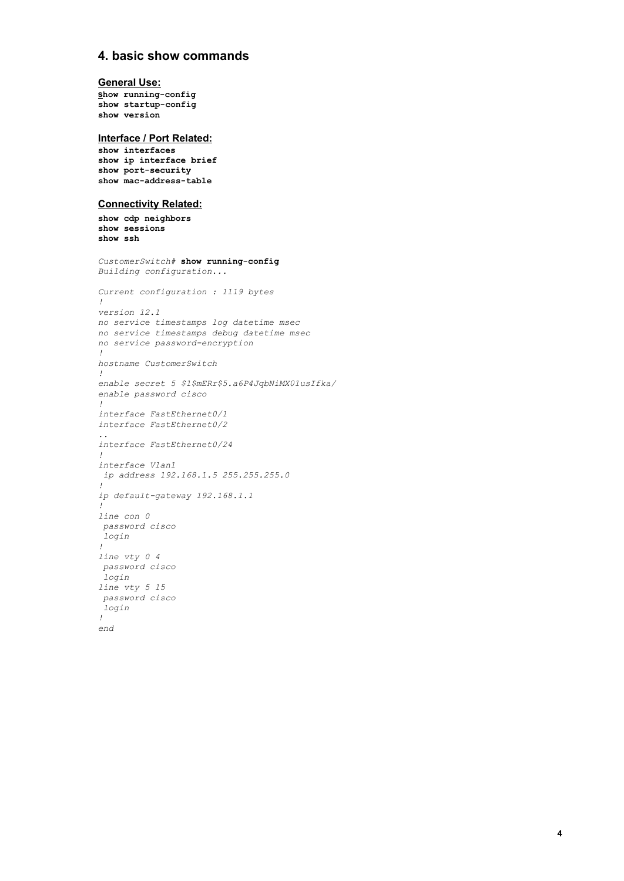# **4. basic show commands**

#### **General Use:**

**show** running-config  $show$  startup-config **show version**

#### **Interface / Port Related:**

**show interfaces show ip interface brief** show port-security show mac-address-table

#### **Connectivity Related:**

**show cdp neighbors show sessions show ssh**

```
CustomerSwitch# show running-config
Building configuration...
Current configuration : 1119 bytes
!
version 12.1
no service timestamps log datetime msec
no service timestamps debug datetime msec
no service password-encryption
!
hostname CustomerSwitch
!
enable secret 5 $1$mERr$5.a6P4JqbNiMX01usIfka/
enable password cisco
!
interface FastEthernet0/1
interface FastEthernet0/2
..
interface FastEthernet0/24
!
interface Vlan1
ip address 192.168.1.5 255.255.255.0
!
ip defaultgateway 192.168.1.1
!
line con 0
password cisco
login
!
line vty 0 4
password cisco
login
line vty 5 15
password cisco
login
!
end
```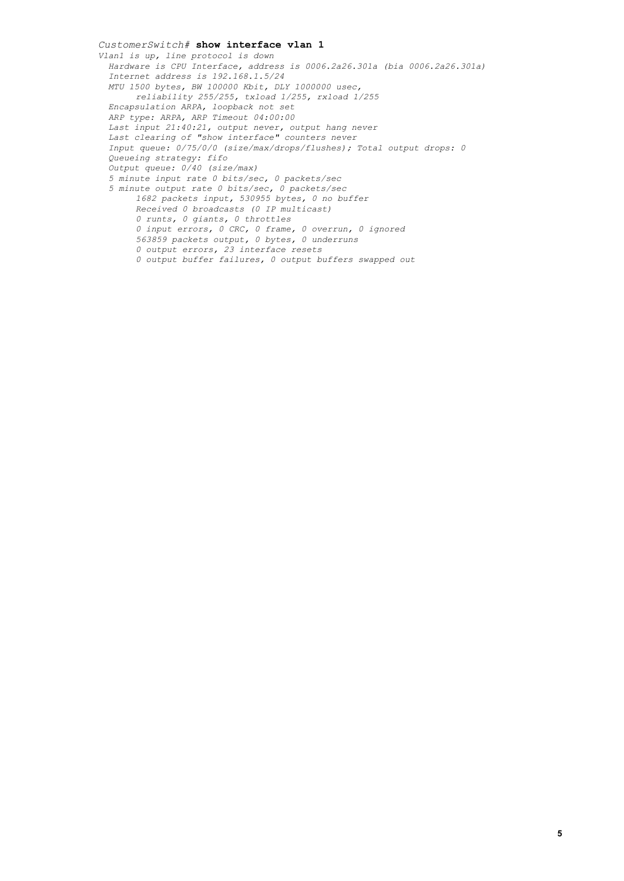*CustomerSwitch#* **show interface vlan 1** *Vlan1 is up, line protocol is down Hardware is CPU Interface, address is 0006.2a26.301a (bia 0006.2a26.301a) Internet address is 192.168.1.5/24 MTU 1500 bytes, BW 100000 Kbit, DLY 1000000 usec, reliability 255/255, txload 1/255, rxload 1/255 Encapsulation ARPA, loopback not set ARP type: ARPA, ARP Timeout 04:00:00 Last input 21:40:21, output never, output hang never Last clearing of "show interface" counters never Input queue: 0/75/0/0 (size/max/drops/flushes); Total output drops: 0 Queueing strategy: fifo Output queue: 0/40 (size/max) 5 minute input rate 0 bits/sec, 0 packets/sec 5 minute output rate 0 bits/sec, 0 packets/sec 1682 packets input, 530955 bytes, 0 no buffer Received 0 broadcasts (0 IP multicast) 0 runts, 0 giants, 0 throttles 0 input errors, 0 CRC, 0 frame, 0 overrun, 0 ignored 563859 packets output, 0 bytes, 0 underruns 0 output errors, 23 interface resets 0 output buffer failures, 0 output buffers swapped out*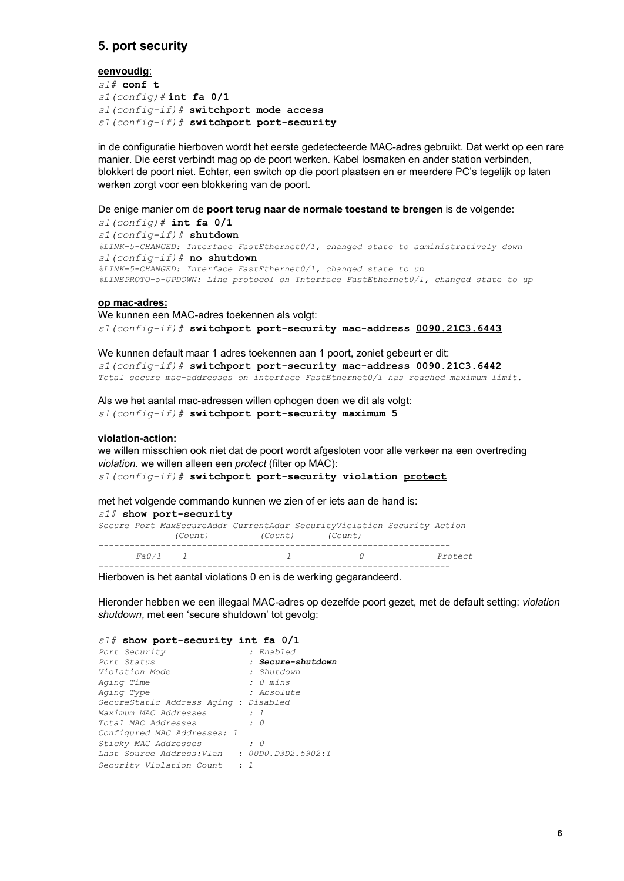# **5. port security**

#### **eenvoudig**:

*s1#* **conf t** *s1(config)#***int fa 0/1** *s1(configif)#***switchport mode access** *s1(configif)#* **switchport portsecurity**

in de configuratie hierboven wordt het eerste gedetecteerde MAC-adres gebruikt. Dat werkt op een rare manier. Die eerst verbindt mag op de poort werken. Kabel losmaken en ander station verbinden, blokkert de poort niet. Echter, een switch op die poort plaatsen en er meerdere PC's tegelijk op laten werken zorgt voor een blokkering van de poort.

De enige manier om de **poort terug naar de normale toestand te brengen** is de volgende:

*s1(config)#* **int fa 0/1** *s1(configif)#* **shutdown** *%LINK5CHANGED: Interface FastEthernet0/1, changed state to administratively down s1(configif)#* **no shutdown** *%LINK5CHANGED: Interface FastEthernet0/1, changed state to up %LINEPROTO5UPDOWN: Line protocol on Interface FastEthernet0/1, changed state to up*

#### **op macadres:**

We kunnen een MAC-adres toekennen als volgt: *s1(configif)#* **switchport portsecurity macaddress 0090.21C3.6443**

We kunnen default maar 1 adres toekennen aan 1 poort, zoniet gebeurt er dit: *s1(configif)#* **switchport portsecurity macaddress 0090.21C3.6442** *Total secure macaddresses on interface FastEthernet0/1 has reached maximum limit.*

Als we het aantal mac-adressen willen ophogen doen we dit als volgt: *s1(configif)#* **switchport portsecurity maximum 5**

#### violation-action:

we willen misschien ook niet dat de poort wordt afgesloten voor alle verkeer na een overtreding *violation*. we willen alleen een *protect* (filter op MAC):

*s1(configif)#* **switchport portsecurity violation protect**

met het volgende commando kunnen we zien of er iets aan de hand is:

 $s1#$  show port-security *Secure Port MaxSecureAddr CurrentAddr SecurityViolation Security Action (Count) (Count) (Count) Fa0/1 1 1 0 Protect* 

Hierboven is het aantal violations 0 en is de werking gegarandeerd.

Hieronder hebben we een illegaal MAC-adres op dezelfde poort gezet, met de default setting: *violation shutdown*, met een 'secure shutdown' tot gevolg:

#### *s1#* **show portsecurity int fa 0/1**

| Port Security                                     | : Enabled           |
|---------------------------------------------------|---------------------|
| Port Status                                       | : Secure-shutdown   |
| Violation Mode                                    | : Shutdown          |
| Aging Time                                        | : 0 mins            |
| Aging Type                                        | : Absolute          |
| SecureStatic Address Aging : Disabled             |                     |
| Maximum MAC Addresses                             | : 7                 |
| Total MAC Addresses                               | $\therefore$ 0      |
| Configured MAC Addresses: 1                       |                     |
| Sticky MAC Addresses                              | : 0                 |
| Last Source Address:Vlan                          | : 00D0.D3D2.J3902:1 |
| <i>Security Violation Count</i><br>$\therefore$ 7 |                     |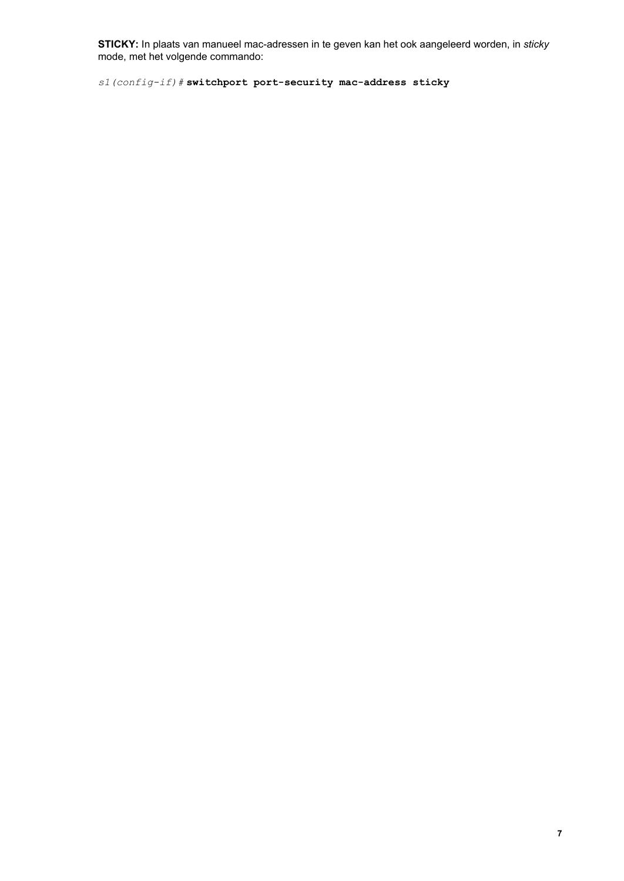**STICKY:** In plaats van manueel macadressen in te geven kan het ook aangeleerd worden, in *sticky* mode, met het volgende commando:

*s1(configif)#***switchport portsecurity macaddress sticky**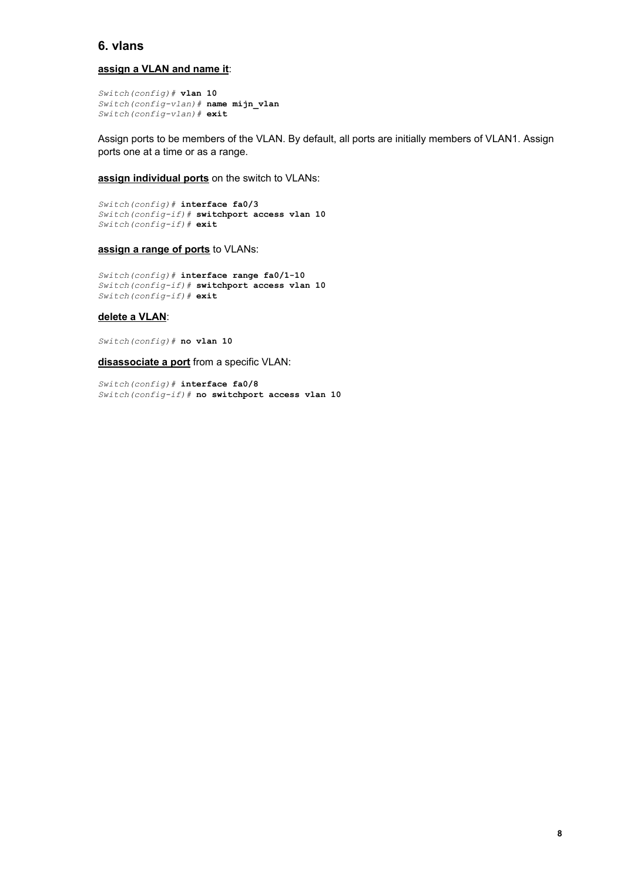# **6. vlans**

#### **assign a VLAN and name it**:

```
Switch(config)# vlan 10
Switch(configvlan)# name mijn_vlan
Switch(config-vlan)# exit
```
Assign ports to be members of the VLAN. By default, all ports are initially members of VLAN1. Assign ports one at a time or as a range.

**assign individual ports** on the switch to VLANs:

```
Switch(config)# interface fa0/3
Switch(configif)# switchport access vlan 10
Switch(configif)# exit
```
#### **assign a range of ports** to VLANs:

 $Switch(config)$ # interface range fa0/1-10 *Switch(configif)#* **switchport access vlan 10** *Switch(configif)#* **exit**

### **delete a VLAN**:

*Switch(config)#* **no vlan 10**

**disassociate a port** from a specific VLAN:

*Switch(config)#* **interface fa0/8** *Switch(configif)#* **no switchport access vlan 10**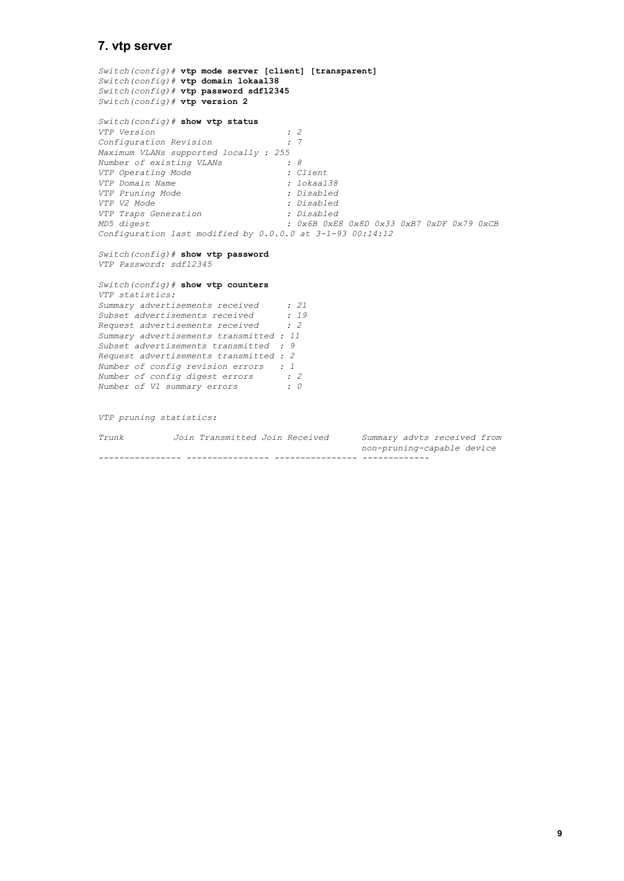### **7. vtp server**

*Switch(config)#* **vtp mode server [client] [transparent]** *Switch(config)#* **vtp domain lokaal38** *Switch(config)#* **vtp password sdf12345** *Switch(config)#* **vtp version 2** *Switch(config)#* **show vtp status** *VTP Version : 2 Configuration Revision : 7 Maximum VLANs supported locally : 255 Number of existing VLANs : 8 VTP Operating Mode : Client VTP Domain Name : lokaal38 VTP Pruning Mode : Disabled VTP V2 Mode : Disabled VTP Traps Generation<br>MD5 digest MD5 digest : 0x6B 0xE8 0x8D 0x33 0xB7 0xDF 0x79 0xCB Configuration last modified by 0.0.0.0 at 3193 00:14:12*

#### *Switch(config)#* **show vtp password** *VTP Password: sdf12345*

*Switch(config)#* **show vtp counters** *VTP statistics: Summary advertisements received : 21 Subset advertisements received : 19 Request advertisements received : 2 Summary advertisements transmitted : 11 Subset advertisements transmitted : 9 Request advertisements transmitted : 2 Number of config revision errors : 1 Number of config digest errors : 2 Number of V1 summary errors : 0*

*VTP pruning statistics:*

| Trunk | Join Transmitted Join Received | Summary advts received from |
|-------|--------------------------------|-----------------------------|
|       |                                | non-pruning-capable device  |
|       |                                |                             |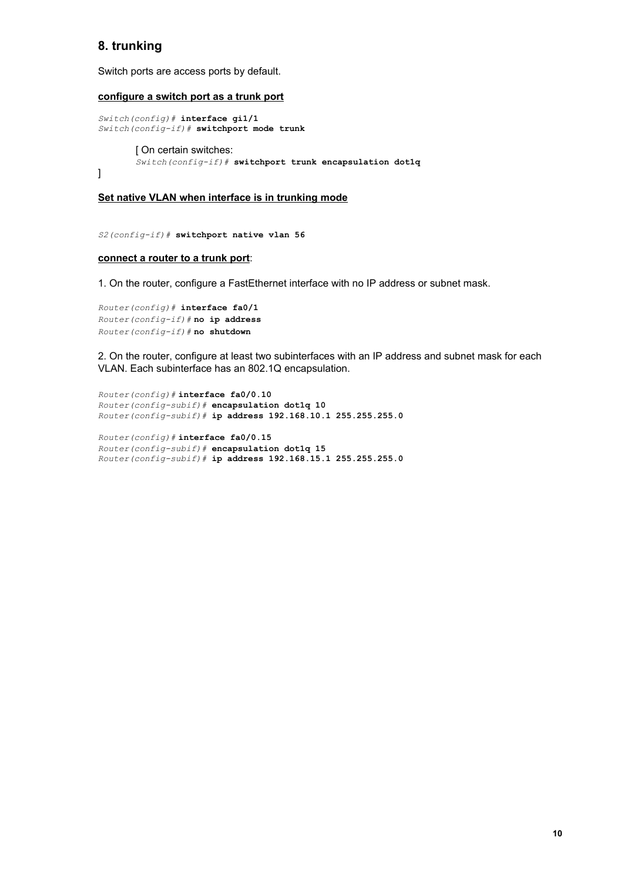# **8. trunking**

Switch ports are access ports by default.

#### **configure a switch port as a trunk port**

```
Switch(config)# interface gi1/1
Switch(configif)# switchport mode trunk
       [ On certain switches:
       Switch(configif)# switchport trunk encapsulation dot1q
]
```
#### **Set native VLAN when interface is in trunking mode**

*S2(configif)#* **switchport native vlan 56**

#### **connect a router to a trunk port**:

1. On the router, configure a FastEthernet interface with no IP address or subnet mask.

```
Router(config)# interface fa0/1
Router(configif)#no ip address
Router(configif)#no shutdown
```
2. On the router, configure at least two subinterfaces with an IP address and subnet mask for each VLAN. Each subinterface has an 802.1Q encapsulation.

```
Router(config)#interface fa0/0.10
Router(configsubif)# encapsulation dot1q 10
Router(configsubif)# ip address 192.168.10.1 255.255.255.0
```

```
Router(config)#interface fa0/0.15
Router(configsubif)# encapsulation dot1q 15
Router(configsubif)# ip address 192.168.15.1 255.255.255.0
```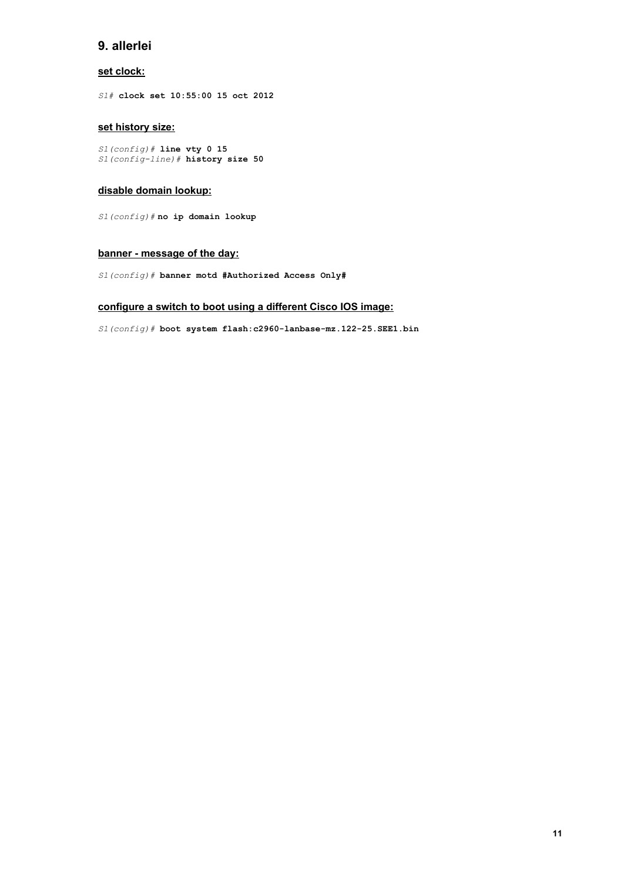# **9. allerlei**

### **set clock:**

*S1#* **clock set 10:55:00 15 oct 2012**

### **set history size:**

*S1(config)#* **line vty 0 15** *S1(configline)#* **history size 50**

#### **disable domain lookup:**

*S1(config)#***no ip domain lookup**

#### **banner message of the day:**

*S1(config)#* **banner motd #Authorized Access Only#**

### **configure a switch to boot using a different Cisco IOS image:**

 $S1$ (config)# **boot system flash:c2960-lanbase-mz.122-25.SEE1.bin**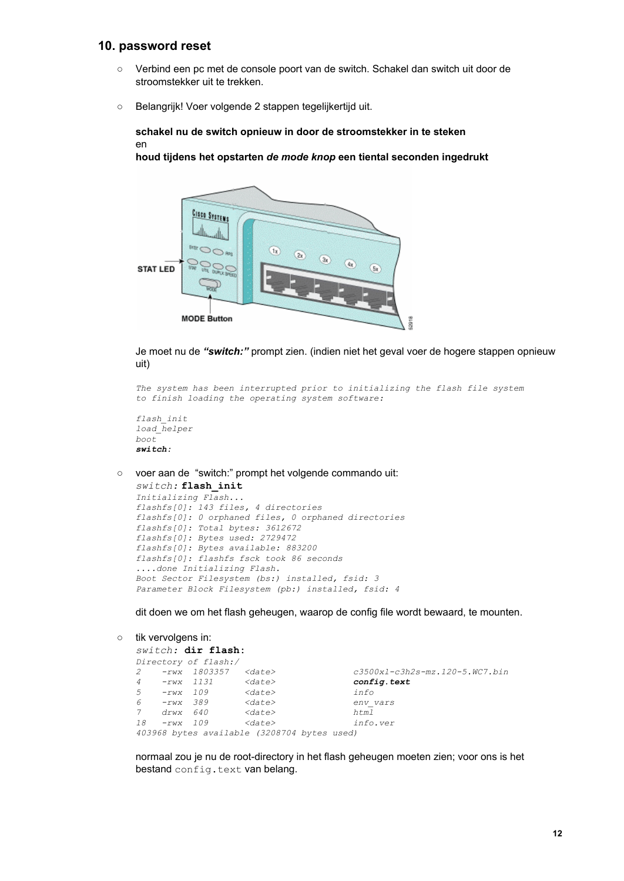### **10. password reset**

- Verbind een pc met de console poort van de switch. Schakel dan switch uit door de stroomstekker uit te trekken.
- Belangrijk! Voer volgende 2 stappen tegelijkertijd uit.

**schakel nu de switch opnieuw in door de stroomstekker in te steken** en

**houd tijdens het opstarten** *de mode knop* **een tiental seconden ingedrukt**



Je moet nu de *"switch:"* prompt zien. (indien niet het geval voer de hogere stappen opnieuw uit)

```
The system has been interrupted prior to initializing the flash file system
to finish loading the operating system software:
```

```
flash_init
load_helper
boot
switch:
```
○ voer aan de "switch:" prompt het volgende commando uit:

```
switch:flash_init
Initializing Flash...
flashfs[0]: 143 files, 4 directories
flashfs[0]: 0 orphaned files, 0 orphaned directories
flashfs[0]: Total bytes: 3612672
flashfs[0]: Bytes used: 2729472
flashfs[0]: Bytes available: 883200
flashfs[0]: flashfs fsck took 86 seconds
....done Initializing Flash.
Boot Sector Filesystem (bs:) installed, fsid: 3
Parameter Block Filesystem (pb:) installed, fsid: 4
```
dit doen we om het flash geheugen, waarop de config file wordt bewaard, te mounten.

```
○ tik vervolgens in:
```

```
switch: dir flash:
Directory of flash:/
2 rwx 1803357 <date> c3500xlc3h2smz.1205.WC7.bin
   4 rwx 1131 <date> config.text
5 rwx 109 <date> info
6 rwx 389 <date> env_vars
7 drwx 640 <date> html
18 rwx 109 <date> info.ver
403968 bytes available (3208704 bytes used)
```
normaal zou je nu de root-directory in het flash geheugen moeten zien; voor ons is het bestand config.text van belang.